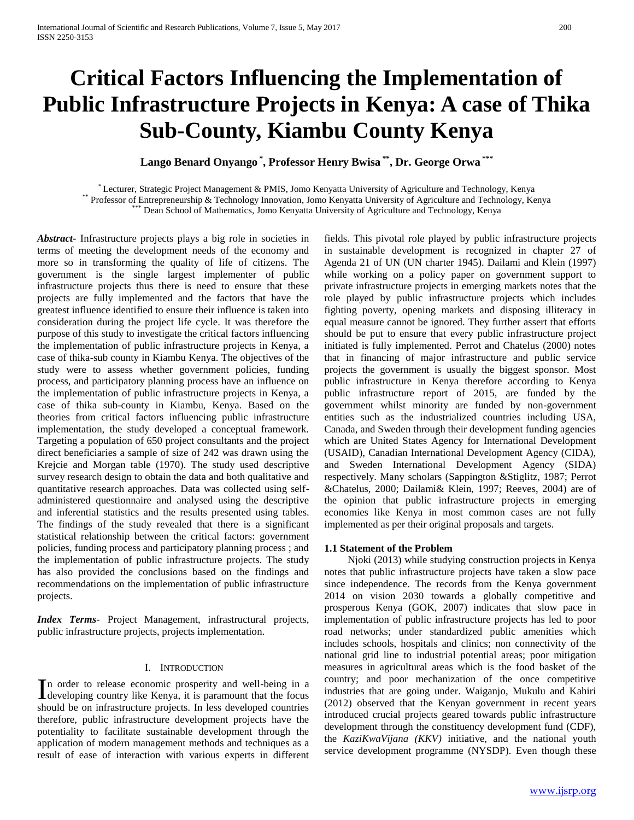# **Critical Factors Influencing the Implementation of Public Infrastructure Projects in Kenya: A case of Thika Sub-County, Kiambu County Kenya**

**Lango Benard Onyango \* , Professor Henry Bwisa \*\* , Dr. George Orwa \*\*\***

\* Lecturer, Strategic Project Management & PMIS, Jomo Kenyatta University of Agriculture and Technology, Kenya \*\* Professor of Entrepreneurship & Technology Innovation, Jomo Kenyatta University of Agriculture and Technology, Kenya \*\*\* Dean School of Mathematics, Jomo Kenyatta University of Agriculture and Technology, Kenya

*Abstract***-** Infrastructure projects plays a big role in societies in terms of meeting the development needs of the economy and more so in transforming the quality of life of citizens. The government is the single largest implementer of public infrastructure projects thus there is need to ensure that these projects are fully implemented and the factors that have the greatest influence identified to ensure their influence is taken into consideration during the project life cycle. It was therefore the purpose of this study to investigate the critical factors influencing the implementation of public infrastructure projects in Kenya, a case of thika-sub county in Kiambu Kenya. The objectives of the study were to assess whether government policies, funding process, and participatory planning process have an influence on the implementation of public infrastructure projects in Kenya, a case of thika sub-county in Kiambu, Kenya. Based on the theories from critical factors influencing public infrastructure implementation, the study developed a conceptual framework. Targeting a population of 650 project consultants and the project direct beneficiaries a sample of size of 242 was drawn using the Krejcie and Morgan table (1970). The study used descriptive survey research design to obtain the data and both qualitative and quantitative research approaches. Data was collected using selfadministered questionnaire and analysed using the descriptive and inferential statistics and the results presented using tables. The findings of the study revealed that there is a significant statistical relationship between the critical factors: government policies, funding process and participatory planning process ; and the implementation of public infrastructure projects. The study has also provided the conclusions based on the findings and recommendations on the implementation of public infrastructure projects.

*Index Terms*- Project Management, infrastructural projects, public infrastructure projects, projects implementation.

# I. INTRODUCTION

n order to release economic prosperity and well-being in a In order to release economic prosperity and well-being in a developing country like Kenya, it is paramount that the focus should be on infrastructure projects. In less developed countries therefore, public infrastructure development projects have the potentiality to facilitate sustainable development through the application of modern management methods and techniques as a result of ease of interaction with various experts in different

fields. This pivotal role played by public infrastructure projects in sustainable development is recognized in chapter 27 of Agenda 21 of UN (UN charter 1945). Dailami and Klein (1997) while working on a policy paper on government support to private infrastructure projects in emerging markets notes that the role played by public infrastructure projects which includes fighting poverty, opening markets and disposing illiteracy in equal measure cannot be ignored. They further assert that efforts should be put to ensure that every public infrastructure project initiated is fully implemented. Perrot and Chatelus (2000) notes that in financing of major infrastructure and public service projects the government is usually the biggest sponsor. Most public infrastructure in Kenya therefore according to Kenya public infrastructure report of 2015, are funded by the government whilst minority are funded by non-government entities such as the industrialized countries including USA, Canada, and Sweden through their development funding agencies which are United States Agency for International Development (USAID), Canadian International Development Agency (CIDA), and Sweden International Development Agency (SIDA) respectively. Many scholars (Sappington &Stiglitz, 1987; Perrot &Chatelus, 2000; Dailami& Klein, 1997; Reeves, 2004) are of the opinion that public infrastructure projects in emerging economies like Kenya in most common cases are not fully implemented as per their original proposals and targets.

#### **1.1 Statement of the Problem**

 Njoki (2013) while studying construction projects in Kenya notes that public infrastructure projects have taken a slow pace since independence. The records from the Kenya government 2014 on vision 2030 towards a globally competitive and prosperous Kenya (GOK, 2007) indicates that slow pace in implementation of public infrastructure projects has led to poor road networks; under standardized public amenities which includes schools, hospitals and clinics; non connectivity of the national grid line to industrial potential areas; poor mitigation measures in agricultural areas which is the food basket of the country; and poor mechanization of the once competitive industries that are going under. Waiganjo, Mukulu and Kahiri (2012) observed that the Kenyan government in recent years introduced crucial projects geared towards public infrastructure development through the constituency development fund (CDF), the *KaziKwaVijana (KKV)* initiative, and the national youth service development programme (NYSDP). Even though these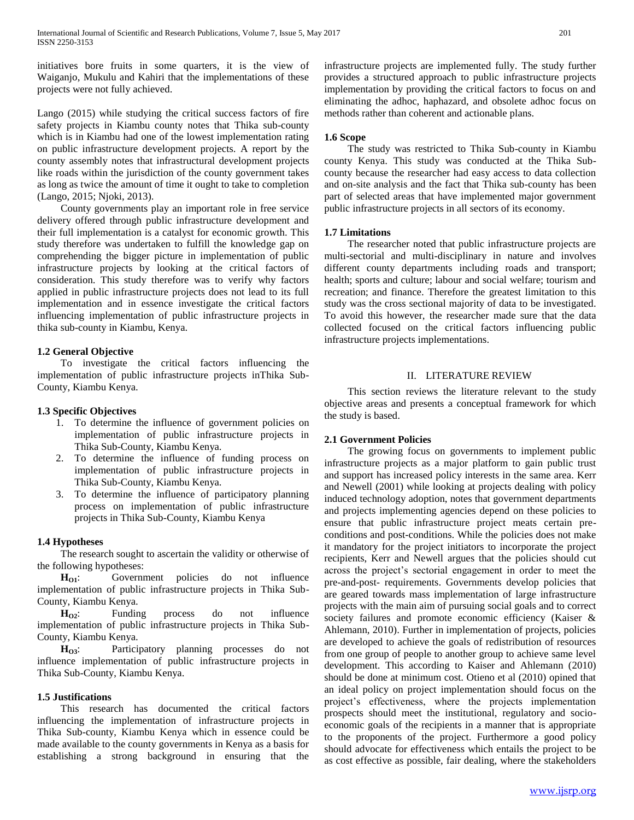initiatives bore fruits in some quarters, it is the view of Waiganjo, Mukulu and Kahiri that the implementations of these projects were not fully achieved.

Lango (2015) while studying the critical success factors of fire safety projects in Kiambu county notes that Thika sub-county which is in Kiambu had one of the lowest implementation rating on public infrastructure development projects. A report by the county assembly notes that infrastructural development projects like roads within the jurisdiction of the county government takes as long as twice the amount of time it ought to take to completion (Lango, 2015; Njoki, 2013).

 County governments play an important role in free service delivery offered through public infrastructure development and their full implementation is a catalyst for economic growth. This study therefore was undertaken to fulfill the knowledge gap on comprehending the bigger picture in implementation of public infrastructure projects by looking at the critical factors of consideration. This study therefore was to verify why factors applied in public infrastructure projects does not lead to its full implementation and in essence investigate the critical factors influencing implementation of public infrastructure projects in thika sub-county in Kiambu, Kenya.

# **1.2 General Objective**

 To investigate the critical factors influencing the implementation of public infrastructure projects inThika Sub-County, Kiambu Kenya.

# **1.3 Specific Objectives**

- 1. To determine the influence of government policies on implementation of public infrastructure projects in Thika Sub-County, Kiambu Kenya.
- 2. To determine the influence of funding process on implementation of public infrastructure projects in Thika Sub-County, Kiambu Kenya.
- 3. To determine the influence of participatory planning process on implementation of public infrastructure projects in Thika Sub-County, Kiambu Kenya

# **1.4 Hypotheses**

 The research sought to ascertain the validity or otherwise of the following hypotheses:

**H**<sub>O1</sub>: Government policies do not influence implementation of public infrastructure projects in Thika Sub-County, Kiambu Kenya.

**H**<sub>O2</sub>: Funding process do not influence implementation of public infrastructure projects in Thika Sub-County, Kiambu Kenya.

 **HO3**: Participatory planning processes do not influence implementation of public infrastructure projects in Thika Sub-County, Kiambu Kenya.

# **1.5 Justifications**

 This research has documented the critical factors influencing the implementation of infrastructure projects in Thika Sub-county, Kiambu Kenya which in essence could be made available to the county governments in Kenya as a basis for establishing a strong background in ensuring that the

infrastructure projects are implemented fully. The study further provides a structured approach to public infrastructure projects implementation by providing the critical factors to focus on and eliminating the adhoc, haphazard, and obsolete adhoc focus on methods rather than coherent and actionable plans.

# **1.6 Scope**

 The study was restricted to Thika Sub-county in Kiambu county Kenya. This study was conducted at the Thika Subcounty because the researcher had easy access to data collection and on-site analysis and the fact that Thika sub-county has been part of selected areas that have implemented major government public infrastructure projects in all sectors of its economy.

# **1.7 Limitations**

 The researcher noted that public infrastructure projects are multi-sectorial and multi-disciplinary in nature and involves different county departments including roads and transport; health; sports and culture; labour and social welfare; tourism and recreation; and finance. Therefore the greatest limitation to this study was the cross sectional majority of data to be investigated. To avoid this however, the researcher made sure that the data collected focused on the critical factors influencing public infrastructure projects implementations.

# II. LITERATURE REVIEW

 This section reviews the literature relevant to the study objective areas and presents a conceptual framework for which the study is based.

# **2.1 Government Policies**

 The growing focus on governments to implement public infrastructure projects as a major platform to gain public trust and support has increased policy interests in the same area. Kerr and Newell (2001) while looking at projects dealing with policy induced technology adoption, notes that government departments and projects implementing agencies depend on these policies to ensure that public infrastructure project meats certain preconditions and post-conditions. While the policies does not make it mandatory for the project initiators to incorporate the project recipients, Kerr and Newell argues that the policies should cut across the project's sectorial engagement in order to meet the pre-and-post- requirements. Governments develop policies that are geared towards mass implementation of large infrastructure projects with the main aim of pursuing social goals and to correct society failures and promote economic efficiency (Kaiser & Ahlemann, 2010). Further in implementation of projects, policies are developed to achieve the goals of redistribution of resources from one group of people to another group to achieve same level development. This according to Kaiser and Ahlemann (2010) should be done at minimum cost. Otieno et al (2010) opined that an ideal policy on project implementation should focus on the project's effectiveness, where the projects implementation prospects should meet the institutional, regulatory and socioeconomic goals of the recipients in a manner that is appropriate to the proponents of the project. Furthermore a good policy should advocate for effectiveness which entails the project to be as cost effective as possible, fair dealing, where the stakeholders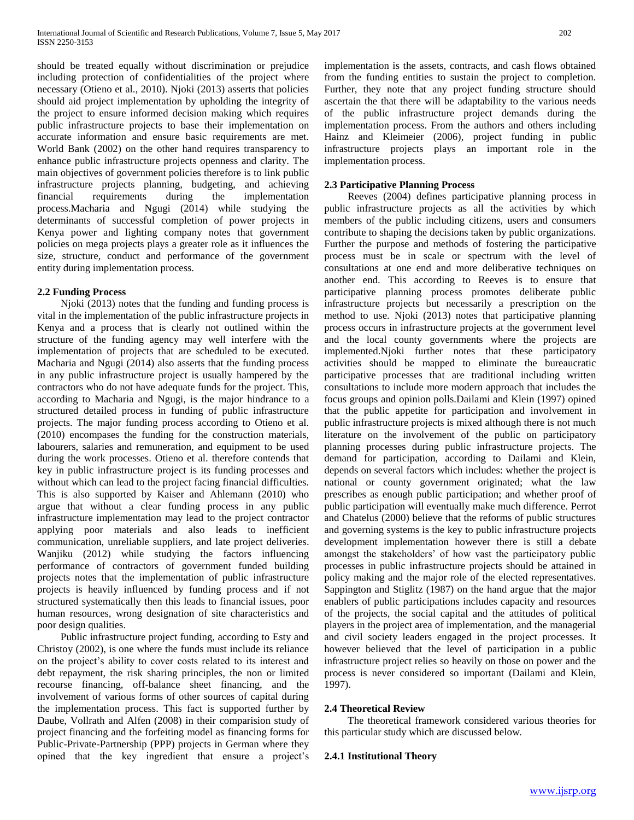should be treated equally without discrimination or prejudice including protection of confidentialities of the project where necessary (Otieno et al., 2010). Njoki (2013) asserts that policies should aid project implementation by upholding the integrity of the project to ensure informed decision making which requires public infrastructure projects to base their implementation on accurate information and ensure basic requirements are met. World Bank (2002) on the other hand requires transparency to enhance public infrastructure projects openness and clarity. The main objectives of government policies therefore is to link public infrastructure projects planning, budgeting, and achieving financial requirements during the implementation process.Macharia and Ngugi (2014) while studying the determinants of successful completion of power projects in Kenya power and lighting company notes that government policies on mega projects plays a greater role as it influences the size, structure, conduct and performance of the government entity during implementation process.

## **2.2 Funding Process**

 Njoki (2013) notes that the funding and funding process is vital in the implementation of the public infrastructure projects in Kenya and a process that is clearly not outlined within the structure of the funding agency may well interfere with the implementation of projects that are scheduled to be executed. Macharia and Ngugi (2014) also asserts that the funding process in any public infrastructure project is usually hampered by the contractors who do not have adequate funds for the project. This, according to Macharia and Ngugi, is the major hindrance to a structured detailed process in funding of public infrastructure projects. The major funding process according to Otieno et al. (2010) encompases the funding for the construction materials, labourers, salaries and remuneration, and equipment to be used during the work processes. Otieno et al. therefore contends that key in public infrastructure project is its funding processes and without which can lead to the project facing financial difficulties. This is also supported by Kaiser and Ahlemann (2010) who argue that without a clear funding process in any public infrastructure implementation may lead to the project contractor applying poor materials and also leads to inefficient communication, unreliable suppliers, and late project deliveries. Wanjiku (2012) while studying the factors influencing performance of contractors of government funded building projects notes that the implementation of public infrastructure projects is heavily influenced by funding process and if not structured systematically then this leads to financial issues, poor human resources, wrong designation of site characteristics and poor design qualities.

 Public infrastructure project funding, according to Esty and Christoy (2002), is one where the funds must include its reliance on the project's ability to cover costs related to its interest and debt repayment, the risk sharing principles, the non or limited recourse financing, off-balance sheet financing, and the involvement of various forms of other sources of capital during the implementation process. This fact is supported further by Daube, Vollrath and Alfen (2008) in their comparision study of project financing and the forfeiting model as financing forms for Public-Private-Partnership (PPP) projects in German where they opined that the key ingredient that ensure a project's implementation is the assets, contracts, and cash flows obtained from the funding entities to sustain the project to completion. Further, they note that any project funding structure should ascertain the that there will be adaptability to the various needs of the public infrastructure project demands during the implementation process. From the authors and others including Hainz and Kleimeier (2006), project funding in public infrastructure projects plays an important role in the implementation process.

# **2.3 Participative Planning Process**

 Reeves (2004) defines participative planning process in public infrastructure projects as all the activities by which members of the public including citizens, users and consumers contribute to shaping the decisions taken by public organizations. Further the purpose and methods of fostering the participative process must be in scale or spectrum with the level of consultations at one end and more deliberative techniques on another end. This according to Reeves is to ensure that participative planning process promotes deliberate public infrastructure projects but necessarily a prescription on the method to use. Njoki (2013) notes that participative planning process occurs in infrastructure projects at the government level and the local county governments where the projects are implemented.Njoki further notes that these participatory activities should be mapped to eliminate the bureaucratic participative processes that are traditional including written consultations to include more modern approach that includes the focus groups and opinion polls.Dailami and Klein (1997) opined that the public appetite for participation and involvement in public infrastructure projects is mixed although there is not much literature on the involvement of the public on participatory planning processes during public infrastructure projects. The demand for participation, according to Dailami and Klein, depends on several factors which includes: whether the project is national or county government originated; what the law prescribes as enough public participation; and whether proof of public participation will eventually make much difference. Perrot and Chatelus (2000) believe that the reforms of public structures and governing systems is the key to public infrastructure projects development implementation however there is still a debate amongst the stakeholders' of how vast the participatory public processes in public infrastructure projects should be attained in policy making and the major role of the elected representatives. Sappington and Stiglitz (1987) on the hand argue that the major enablers of public participations includes capacity and resources of the projects, the social capital and the attitudes of political players in the project area of implementation, and the managerial and civil society leaders engaged in the project processes. It however believed that the level of participation in a public infrastructure project relies so heavily on those on power and the process is never considered so important (Dailami and Klein, 1997).

#### **2.4 Theoretical Review**

 The theoretical framework considered various theories for this particular study which are discussed below.

# **2.4.1 Institutional Theory**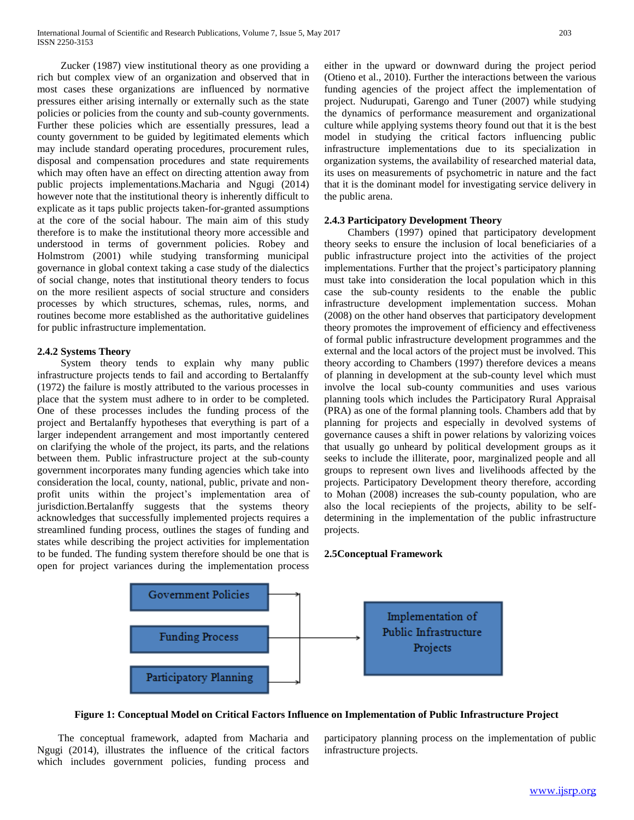Zucker (1987) view institutional theory as one providing a rich but complex view of an organization and observed that in most cases these organizations are influenced by normative pressures either arising internally or externally such as the state policies or policies from the county and sub-county governments. Further these policies which are essentially pressures, lead a county government to be guided by legitimated elements which may include standard operating procedures, procurement rules, disposal and compensation procedures and state requirements which may often have an effect on directing attention away from public projects implementations.Macharia and Ngugi (2014) however note that the institutional theory is inherently difficult to explicate as it taps public projects taken-for-granted assumptions at the core of the social habour. The main aim of this study therefore is to make the institutional theory more accessible and understood in terms of government policies. Robey and Holmstrom (2001) while studying transforming municipal governance in global context taking a case study of the dialectics of social change, notes that institutional theory tenders to focus on the more resilient aspects of social structure and considers processes by which structures, schemas, rules, norms, and routines become more established as the authoritative guidelines for public infrastructure implementation.

## **2.4.2 Systems Theory**

 System theory tends to explain why many public infrastructure projects tends to fail and according to Bertalanffy (1972) the failure is mostly attributed to the various processes in place that the system must adhere to in order to be completed. One of these processes includes the funding process of the project and Bertalanffy hypotheses that everything is part of a larger independent arrangement and most importantly centered on clarifying the whole of the project, its parts, and the relations between them. Public infrastructure project at the sub-county government incorporates many funding agencies which take into consideration the local, county, national, public, private and nonprofit units within the project's implementation area of jurisdiction.Bertalanffy suggests that the systems theory acknowledges that successfully implemented projects requires a streamlined funding process, outlines the stages of funding and states while describing the project activities for implementation to be funded. The funding system therefore should be one that is open for project variances during the implementation process

either in the upward or downward during the project period (Otieno et al., 2010). Further the interactions between the various funding agencies of the project affect the implementation of project. Nudurupati, Garengo and Tuner (2007) while studying the dynamics of performance measurement and organizational culture while applying systems theory found out that it is the best model in studying the critical factors influencing public infrastructure implementations due to its specialization in organization systems, the availability of researched material data, its uses on measurements of psychometric in nature and the fact that it is the dominant model for investigating service delivery in the public arena.

## **2.4.3 Participatory Development Theory**

 Chambers (1997) opined that participatory development theory seeks to ensure the inclusion of local beneficiaries of a public infrastructure project into the activities of the project implementations. Further that the project's participatory planning must take into consideration the local population which in this case the sub-county residents to the enable the public infrastructure development implementation success. Mohan (2008) on the other hand observes that participatory development theory promotes the improvement of efficiency and effectiveness of formal public infrastructure development programmes and the external and the local actors of the project must be involved. This theory according to Chambers (1997) therefore devices a means of planning in development at the sub-county level which must involve the local sub-county communities and uses various planning tools which includes the Participatory Rural Appraisal (PRA) as one of the formal planning tools. Chambers add that by planning for projects and especially in devolved systems of governance causes a shift in power relations by valorizing voices that usually go unheard by political development groups as it seeks to include the illiterate, poor, marginalized people and all groups to represent own lives and livelihoods affected by the projects. Participatory Development theory therefore, according to Mohan (2008) increases the sub-county population, who are also the local reciepients of the projects, ability to be selfdetermining in the implementation of the public infrastructure projects.

#### **2.5Conceptual Framework**



**Figure 1: Conceptual Model on Critical Factors Influence on Implementation of Public Infrastructure Project**

 The conceptual framework, adapted from Macharia and Ngugi (2014), illustrates the influence of the critical factors which includes government policies, funding process and

participatory planning process on the implementation of public infrastructure projects.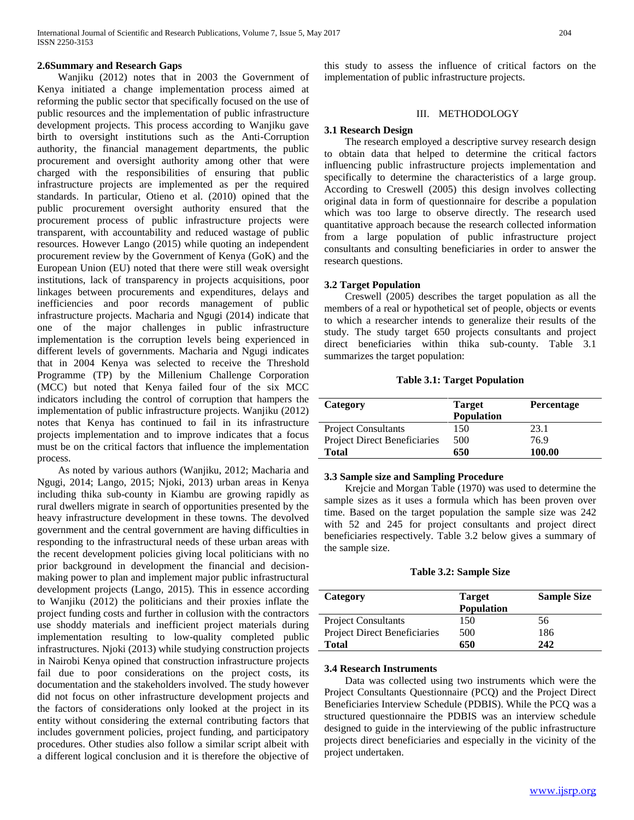#### **2.6Summary and Research Gaps**

 Wanjiku (2012) notes that in 2003 the Government of Kenya initiated a change implementation process aimed at reforming the public sector that specifically focused on the use of public resources and the implementation of public infrastructure development projects. This process according to Wanjiku gave birth to oversight institutions such as the Anti-Corruption authority, the financial management departments, the public procurement and oversight authority among other that were charged with the responsibilities of ensuring that public infrastructure projects are implemented as per the required standards. In particular, Otieno et al. (2010) opined that the public procurement oversight authority ensured that the procurement process of public infrastructure projects were transparent, with accountability and reduced wastage of public resources. However Lango (2015) while quoting an independent procurement review by the Government of Kenya (GoK) and the European Union (EU) noted that there were still weak oversight institutions, lack of transparency in projects acquisitions, poor linkages between procurements and expenditures, delays and inefficiencies and poor records management of public infrastructure projects. Macharia and Ngugi (2014) indicate that one of the major challenges in public infrastructure implementation is the corruption levels being experienced in different levels of governments. Macharia and Ngugi indicates that in 2004 Kenya was selected to receive the Threshold Programme (TP) by the Millenium Challenge Corporation (MCC) but noted that Kenya failed four of the six MCC indicators including the control of corruption that hampers the implementation of public infrastructure projects. Wanjiku (2012) notes that Kenya has continued to fail in its infrastructure projects implementation and to improve indicates that a focus must be on the critical factors that influence the implementation process.

 As noted by various authors (Wanjiku, 2012; Macharia and Ngugi, 2014; Lango, 2015; Njoki, 2013) urban areas in Kenya including thika sub-county in Kiambu are growing rapidly as rural dwellers migrate in search of opportunities presented by the heavy infrastructure development in these towns. The devolved government and the central government are having difficulties in responding to the infrastructural needs of these urban areas with the recent development policies giving local politicians with no prior background in development the financial and decisionmaking power to plan and implement major public infrastructural development projects (Lango, 2015). This in essence according to Wanjiku (2012) the politicians and their proxies inflate the project funding costs and further in collusion with the contractors use shoddy materials and inefficient project materials during implementation resulting to low-quality completed public infrastructures. Njoki (2013) while studying construction projects in Nairobi Kenya opined that construction infrastructure projects fail due to poor considerations on the project costs, its documentation and the stakeholders involved. The study however did not focus on other infrastructure development projects and the factors of considerations only looked at the project in its entity without considering the external contributing factors that includes government policies, project funding, and participatory procedures. Other studies also follow a similar script albeit with a different logical conclusion and it is therefore the objective of

this study to assess the influence of critical factors on the implementation of public infrastructure projects.

#### III. METHODOLOGY

#### **3.1 Research Design**

 The research employed a descriptive survey research design to obtain data that helped to determine the critical factors influencing public infrastructure projects implementation and specifically to determine the characteristics of a large group. According to Creswell (2005) this design involves collecting original data in form of questionnaire for describe a population which was too large to observe directly. The research used quantitative approach because the research collected information from a large population of public infrastructure project consultants and consulting beneficiaries in order to answer the research questions.

## **3.2 Target Population**

 Creswell (2005) describes the target population as all the members of a real or hypothetical set of people, objects or events to which a researcher intends to generalize their results of the study. The study target 650 projects consultants and project direct beneficiaries within thika sub-county. Table 3.1 summarizes the target population:

**Table 3.1: Target Population**

| Category                            | <b>Target</b>     | <b>Percentage</b> |
|-------------------------------------|-------------------|-------------------|
|                                     | <b>Population</b> |                   |
| <b>Project Consultants</b>          | 150               | 23.1              |
| <b>Project Direct Beneficiaries</b> | 500               | 76.9              |
| <b>Total</b>                        | 650               | 100.00            |

#### **3.3 Sample size and Sampling Procedure**

 Krejcie and Morgan Table (1970) was used to determine the sample sizes as it uses a formula which has been proven over time. Based on the target population the sample size was 242 with 52 and 245 for project consultants and project direct beneficiaries respectively. Table 3.2 below gives a summary of the sample size.

**Table 3.2: Sample Size**

| Category                            | <b>Target</b><br><b>Population</b> | <b>Sample Size</b> |
|-------------------------------------|------------------------------------|--------------------|
| <b>Project Consultants</b>          | 150                                | 56                 |
| <b>Project Direct Beneficiaries</b> | 500                                | 186                |
| <b>Total</b>                        | 650                                | 242                |

#### **3.4 Research Instruments**

 Data was collected using two instruments which were the Project Consultants Questionnaire (PCQ) and the Project Direct Beneficiaries Interview Schedule (PDBIS). While the PCQ was a structured questionnaire the PDBIS was an interview schedule designed to guide in the interviewing of the public infrastructure projects direct beneficiaries and especially in the vicinity of the project undertaken.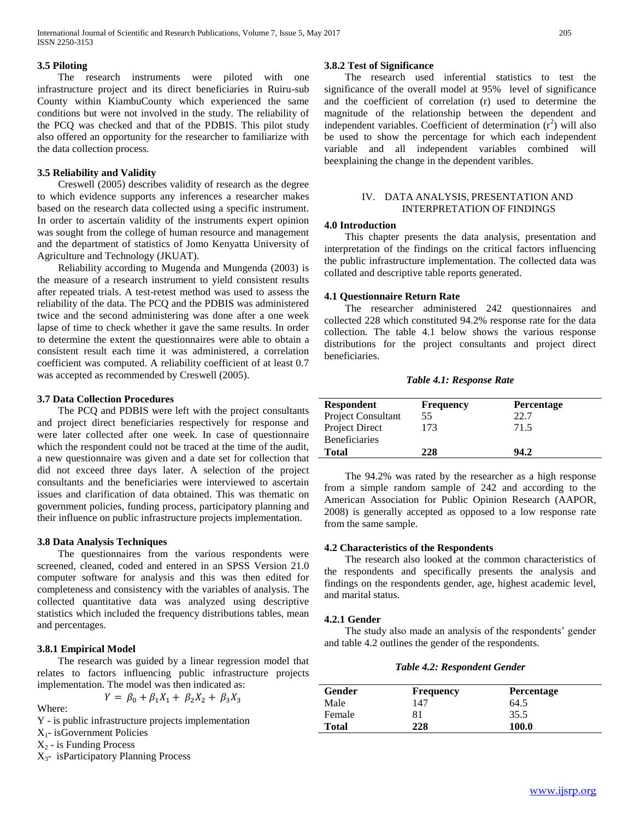#### **3.5 Piloting**

 The research instruments were piloted with one infrastructure project and its direct beneficiaries in Ruiru-sub County within KiambuCounty which experienced the same conditions but were not involved in the study. The reliability of the PCQ was checked and that of the PDBIS. This pilot study also offered an opportunity for the researcher to familiarize with the data collection process.

## **3.5 Reliability and Validity**

 Creswell (2005) describes validity of research as the degree to which evidence supports any inferences a researcher makes based on the research data collected using a specific instrument. In order to ascertain validity of the instruments expert opinion was sought from the college of human resource and management and the department of statistics of Jomo Kenyatta University of Agriculture and Technology (JKUAT).

 Reliability according to Mugenda and Mungenda (2003) is the measure of a research instrument to yield consistent results after repeated trials. A test-retest method was used to assess the reliability of the data. The PCQ and the PDBIS was administered twice and the second administering was done after a one week lapse of time to check whether it gave the same results. In order to determine the extent the questionnaires were able to obtain a consistent result each time it was administered, a correlation coefficient was computed. A reliability coefficient of at least 0.7 was accepted as recommended by Creswell (2005).

## **3.7 Data Collection Procedures**

 The PCQ and PDBIS were left with the project consultants and project direct beneficiaries respectively for response and were later collected after one week. In case of questionnaire which the respondent could not be traced at the time of the audit, a new questionnaire was given and a date set for collection that did not exceed three days later. A selection of the project consultants and the beneficiaries were interviewed to ascertain issues and clarification of data obtained. This was thematic on government policies, funding process, participatory planning and their influence on public infrastructure projects implementation.

#### **3.8 Data Analysis Techniques**

 The questionnaires from the various respondents were screened, cleaned, coded and entered in an SPSS Version 21.0 computer software for analysis and this was then edited for completeness and consistency with the variables of analysis. The collected quantitative data was analyzed using descriptive statistics which included the frequency distributions tables, mean and percentages.

# **3.8.1 Empirical Model**

 The research was guided by a linear regression model that relates to factors influencing public infrastructure projects implementation. The model was then indicated as:

$$
Y = \beta_0 + \beta_1 X_1 + \beta_2 X_2 + \beta_3 X_3
$$

Where:

- Y is public infrastructure projects implementation
- X1- isGovernment Policies
- $X_2$  is Funding Process
- X3- isParticipatory Planning Process

# **3.8.2 Test of Significance**

 The research used inferential statistics to test the significance of the overall model at 95% level of significance and the coefficient of correlation (r) used to determine the magnitude of the relationship between the dependent and independent variables. Coefficient of determination  $(r^2)$  will also be used to show the percentage for which each independent variable and all independent variables combined will beexplaining the change in the dependent varibles.

## IV. DATA ANALYSIS, PRESENTATION AND INTERPRETATION OF FINDINGS

#### **4.0 Introduction**

 This chapter presents the data analysis, presentation and interpretation of the findings on the critical factors influencing the public infrastructure implementation. The collected data was collated and descriptive table reports generated.

## **4.1 Questionnaire Return Rate**

 The researcher administered 242 questionnaires and collected 228 which constituted 94.2% response rate for the data collection. The table 4.1 below shows the various response distributions for the project consultants and project direct beneficiaries.

*Table 4.1: Response Rate*

| <b>Respondent</b>         | <b>Frequency</b> | <b>Percentage</b> |
|---------------------------|------------------|-------------------|
| <b>Project Consultant</b> | 55               | 22.7              |
| Project Direct            | 173              | 71.5              |
| <b>Beneficiaries</b>      |                  |                   |
| <b>Total</b>              | 228              | 94.2              |

 The 94.2% was rated by the researcher as a high response from a simple random sample of 242 and according to the American Association for Public Opinion Research (AAPOR, 2008) is generally accepted as opposed to a low response rate from the same sample.

# **4.2 Characteristics of the Respondents**

 The research also looked at the common characteristics of the respondents and specifically presents the analysis and findings on the respondents gender, age, highest academic level, and marital status.

#### **4.2.1 Gender**

 The study also made an analysis of the respondents' gender and table 4.2 outlines the gender of the respondents.

#### *Table 4.2: Respondent Gender*

| Gender       | <b>Frequency</b> | <b>Percentage</b> |  |
|--------------|------------------|-------------------|--|
| Male         | 147              | 64.5              |  |
| Female       | 81               | 35.5              |  |
| <b>Total</b> | 228              | 100.0             |  |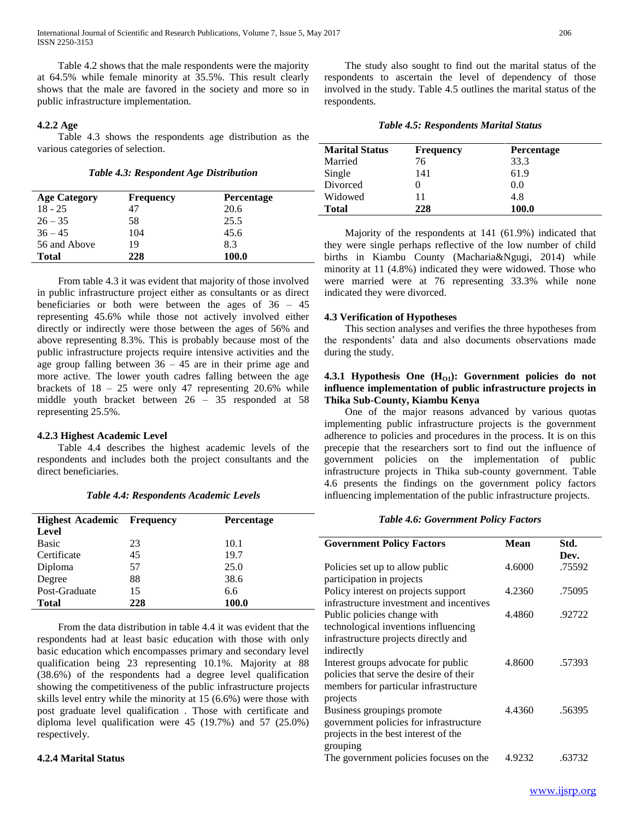Table 4.2 shows that the male respondents were the majority at 64.5% while female minority at 35.5%. This result clearly shows that the male are favored in the society and more so in

#### **4.2.2 Age**

public infrastructure implementation.

ISSN 2250-3153

 Table 4.3 shows the respondents age distribution as the various categories of selection.

*Table 4.3: Respondent Age Distribution*

| <b>Age Category</b> | <b>Frequency</b> | <b>Percentage</b> |  |
|---------------------|------------------|-------------------|--|
| $18 - 25$           | 47               | 20.6              |  |
| $26 - 35$           | 58               | 25.5              |  |
| $36 - 45$           | 104              | 45.6              |  |
| 56 and Above        | 19               | 8.3               |  |
| Total               | 228              | <b>100.0</b>      |  |

 From table 4.3 it was evident that majority of those involved in public infrastructure project either as consultants or as direct beneficiaries or both were between the ages of 36 – 45 representing 45.6% while those not actively involved either directly or indirectly were those between the ages of 56% and above representing 8.3%. This is probably because most of the public infrastructure projects require intensive activities and the age group falling between  $36 - 45$  are in their prime age and more active. The lower youth cadres falling between the age brackets of 18 – 25 were only 47 representing 20.6% while middle youth bracket between 26 – 35 responded at 58 representing 25.5%.

#### **4.2.3 Highest Academic Level**

 Table 4.4 describes the highest academic levels of the respondents and includes both the project consultants and the direct beneficiaries.

| <b>Highest Academic Frequency</b> |     | <b>Percentage</b> |
|-----------------------------------|-----|-------------------|
| Level                             |     |                   |
| <b>Basic</b>                      | 23  | 10.1              |
| Certificate                       | 45  | 19.7              |
| Diploma                           | 57  | 25.0              |
| Degree                            | 88  | 38.6              |
| Post-Graduate                     | 15  | 6.6               |
| <b>Total</b>                      | 228 | 100.0             |

*Table 4.4: Respondents Academic Levels*

 From the data distribution in table 4.4 it was evident that the respondents had at least basic education with those with only basic education which encompasses primary and secondary level qualification being 23 representing 10.1%. Majority at 88 (38.6%) of the respondents had a degree level qualification showing the competitiveness of the public infrastructure projects skills level entry while the minority at 15 (6.6%) were those with post graduate level qualification . Those with certificate and diploma level qualification were 45 (19.7%) and 57 (25.0%) respectively.

#### **4.2.4 Marital Status**

 The study also sought to find out the marital status of the respondents to ascertain the level of dependency of those involved in the study. Table 4.5 outlines the marital status of the respondents.

|  | <b>Table 4.5: Respondents Marital Status</b> |  |  |
|--|----------------------------------------------|--|--|
|--|----------------------------------------------|--|--|

| <b>Marital Status</b> | <b>Frequency</b> | <b>Percentage</b> |  |
|-----------------------|------------------|-------------------|--|
| Married               | 76               | 33.3              |  |
| Single                | 141              | 61.9              |  |
| Divorced              |                  | 0.0               |  |
| Widowed               | 11               | 4.8               |  |
| <b>Total</b>          | 228              | 100.0             |  |

 Majority of the respondents at 141 (61.9%) indicated that they were single perhaps reflective of the low number of child births in Kiambu County (Macharia&Ngugi, 2014) while minority at 11 (4.8%) indicated they were widowed. Those who were married were at 76 representing 33.3% while none indicated they were divorced.

# **4.3 Verification of Hypotheses**

 This section analyses and verifies the three hypotheses from the respondents' data and also documents observations made during the study.

# **4.3.1 Hypothesis One (HO1): Government policies do not influence implementation of public infrastructure projects in Thika Sub-County, Kiambu Kenya**

 One of the major reasons advanced by various quotas implementing public infrastructure projects is the government adherence to policies and procedures in the process. It is on this precepie that the researchers sort to find out the influence of government policies on the implementation of public infrastructure projects in Thika sub-county government. Table 4.6 presents the findings on the government policy factors influencing implementation of the public infrastructure projects.

## *Table 4.6: Government Policy Factors*

| <b>Government Policy Factors</b>         | Mean   | Std.   |
|------------------------------------------|--------|--------|
|                                          |        | Dev.   |
| Policies set up to allow public          | 4.6000 | .75592 |
| participation in projects                |        |        |
| Policy interest on projects support      | 4.2360 | .75095 |
| infrastructure investment and incentives |        |        |
| Public policies change with              | 4.4860 | .92722 |
| technological inventions influencing     |        |        |
| infrastructure projects directly and     |        |        |
| indirectly                               |        |        |
| Interest groups advocate for public      | 4.8600 | .57393 |
| policies that serve the desire of their  |        |        |
| members for particular infrastructure    |        |        |
| projects                                 |        |        |
| Business groupings promote               | 4.4360 | .56395 |
| government policies for infrastructure   |        |        |
| projects in the best interest of the     |        |        |
| grouping                                 |        |        |
| The government policies focuses on the   | 4.9232 | .63732 |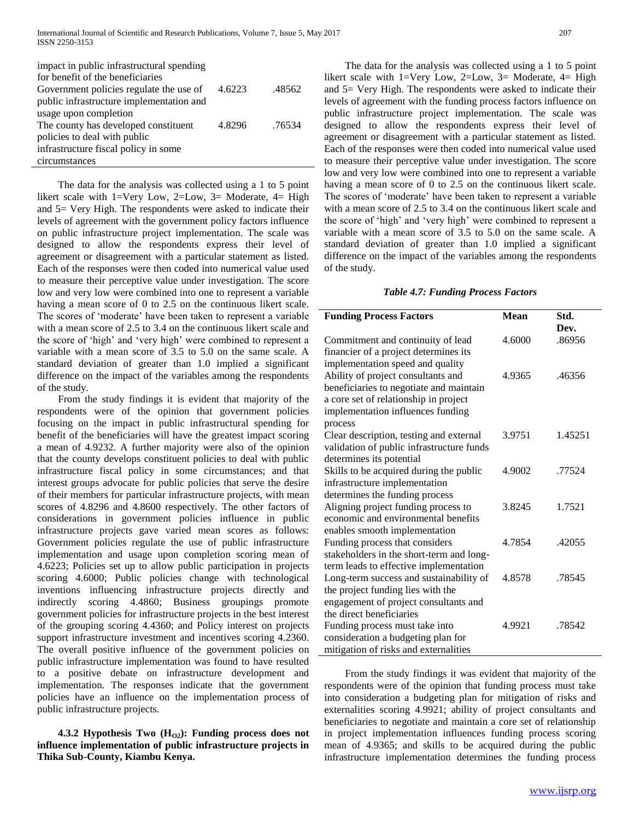| impact in public infrastructural spending |        |        |
|-------------------------------------------|--------|--------|
| for benefit of the beneficiaries          |        |        |
| Government policies regulate the use of   | 4.6223 | .48562 |
| public infrastructure implementation and  |        |        |
| usage upon completion                     |        |        |
| The county has developed constituent      | 4.8296 | .76534 |
| policies to deal with public              |        |        |
| infrastructure fiscal policy in some      |        |        |
| circumstances                             |        |        |

 The data for the analysis was collected using a 1 to 5 point likert scale with 1=Very Low, 2=Low, 3= Moderate, 4= High and 5= Very High. The respondents were asked to indicate their levels of agreement with the government policy factors influence on public infrastructure project implementation. The scale was designed to allow the respondents express their level of agreement or disagreement with a particular statement as listed. Each of the responses were then coded into numerical value used to measure their perceptive value under investigation. The score low and very low were combined into one to represent a variable having a mean score of 0 to 2.5 on the continuous likert scale. The scores of 'moderate' have been taken to represent a variable with a mean score of 2.5 to 3.4 on the continuous likert scale and the score of 'high' and 'very high' were combined to represent a variable with a mean score of 3.5 to 5.0 on the same scale. A standard deviation of greater than 1.0 implied a significant difference on the impact of the variables among the respondents of the study.

 From the study findings it is evident that majority of the respondents were of the opinion that government policies focusing on the impact in public infrastructural spending for benefit of the beneficiaries will have the greatest impact scoring a mean of 4.9232. A further majority were also of the opinion that the county develops constituent policies to deal with public infrastructure fiscal policy in some circumstances; and that interest groups advocate for public policies that serve the desire of their members for particular infrastructure projects, with mean scores of 4.8296 and 4.8600 respectively. The other factors of considerations in government policies influence in public infrastructure projects gave varied mean scores as follows: Government policies regulate the use of public infrastructure implementation and usage upon completion scoring mean of 4.6223; Policies set up to allow public participation in projects scoring 4.6000; Public policies change with technological inventions influencing infrastructure projects directly and indirectly scoring 4.4860; Business groupings promote government policies for infrastructure projects in the best interest of the grouping scoring 4.4360; and Policy interest on projects support infrastructure investment and incentives scoring 4.2360. The overall positive influence of the government policies on public infrastructure implementation was found to have resulted to a positive debate on infrastructure development and implementation. The responses indicate that the government policies have an influence on the implementation process of public infrastructure projects.

 **4.3.2 Hypothesis Two (HO2): Funding process does not influence implementation of public infrastructure projects in Thika Sub-County, Kiambu Kenya.**

 The data for the analysis was collected using a 1 to 5 point likert scale with 1=Very Low, 2=Low, 3= Moderate, 4= High and 5= Very High. The respondents were asked to indicate their levels of agreement with the funding process factors influence on public infrastructure project implementation. The scale was designed to allow the respondents express their level of agreement or disagreement with a particular statement as listed. Each of the responses were then coded into numerical value used to measure their perceptive value under investigation. The score low and very low were combined into one to represent a variable having a mean score of 0 to 2.5 on the continuous likert scale. The scores of 'moderate' have been taken to represent a variable with a mean score of 2.5 to 3.4 on the continuous likert scale and the score of 'high' and 'very high' were combined to represent a variable with a mean score of 3.5 to 5.0 on the same scale. A standard deviation of greater than 1.0 implied a significant difference on the impact of the variables among the respondents of the study.

#### *Table 4.7: Funding Process Factors*

| <b>Funding Process Factors</b>            | <b>Mean</b> | Std.    |
|-------------------------------------------|-------------|---------|
|                                           |             | Dev.    |
| Commitment and continuity of lead         | 4.6000      | .86956  |
| financier of a project determines its     |             |         |
| implementation speed and quality          |             |         |
| Ability of project consultants and        | 4.9365      | .46356  |
| beneficiaries to negotiate and maintain   |             |         |
| a core set of relationship in project     |             |         |
| implementation influences funding         |             |         |
| process                                   |             |         |
| Clear description, testing and external   | 3.9751      | 1.45251 |
| validation of public infrastructure funds |             |         |
| determines its potential                  |             |         |
| Skills to be acquired during the public   | 4.9002      | .77524  |
| infrastructure implementation             |             |         |
| determines the funding process            |             |         |
| Aligning project funding process to       | 3.8245      | 1.7521  |
| economic and environmental benefits       |             |         |
| enables smooth implementation             |             |         |
| Funding process that considers            | 4.7854      | .42055  |
| stakeholders in the short-term and long-  |             |         |
| term leads to effective implementation    |             |         |
| Long-term success and sustainability of   | 4.8578      | .78545  |
| the project funding lies with the         |             |         |
| engagement of project consultants and     |             |         |
| the direct beneficiaries                  |             |         |
| Funding process must take into            | 4.9921      | .78542  |
| consideration a budgeting plan for        |             |         |
| mitigation of risks and externalities     |             |         |

 From the study findings it was evident that majority of the respondents were of the opinion that funding process must take into consideration a budgeting plan for mitigation of risks and externalities scoring 4.9921; ability of project consultants and beneficiaries to negotiate and maintain a core set of relationship in project implementation influences funding process scoring mean of 4.9365; and skills to be acquired during the public infrastructure implementation determines the funding process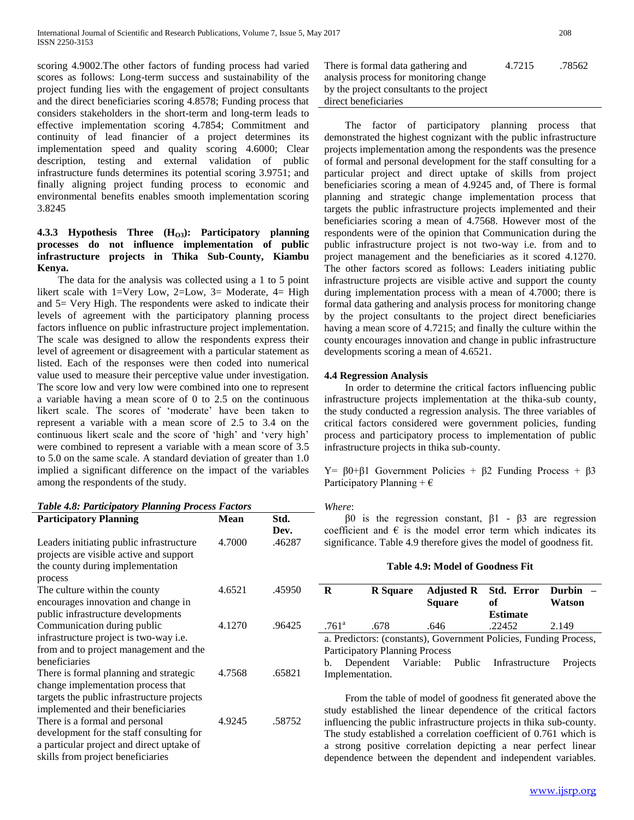scoring 4.9002.The other factors of funding process had varied scores as follows: Long-term success and sustainability of the project funding lies with the engagement of project consultants and the direct beneficiaries scoring 4.8578; Funding process that considers stakeholders in the short-term and long-term leads to effective implementation scoring 4.7854; Commitment and continuity of lead financier of a project determines its implementation speed and quality scoring 4.6000; Clear description, testing and external validation of public infrastructure funds determines its potential scoring 3.9751; and finally aligning project funding process to economic and environmental benefits enables smooth implementation scoring 3.8245

# **4.3.3 Hypothesis Three (HO3): Participatory planning processes do not influence implementation of public infrastructure projects in Thika Sub-County, Kiambu Kenya.**

 The data for the analysis was collected using a 1 to 5 point likert scale with 1=Very Low, 2=Low, 3= Moderate, 4= High and 5= Very High. The respondents were asked to indicate their levels of agreement with the participatory planning process factors influence on public infrastructure project implementation. The scale was designed to allow the respondents express their level of agreement or disagreement with a particular statement as listed. Each of the responses were then coded into numerical value used to measure their perceptive value under investigation. The score low and very low were combined into one to represent a variable having a mean score of 0 to 2.5 on the continuous likert scale. The scores of 'moderate' have been taken to represent a variable with a mean score of 2.5 to 3.4 on the continuous likert scale and the score of 'high' and 'very high' were combined to represent a variable with a mean score of 3.5 to 5.0 on the same scale. A standard deviation of greater than 1.0 implied a significant difference on the impact of the variables among the respondents of the study.

| <b>Participatory Planning</b>                                                                                           | <b>Mean</b> | Std.           |  |
|-------------------------------------------------------------------------------------------------------------------------|-------------|----------------|--|
| Leaders initiating public infrastructure<br>projects are visible active and support<br>the county during implementation | 4.7000      | Dev.<br>.46287 |  |
| process<br>The culture within the county<br>encourages innovation and change in                                         | 4.6521      | .45950         |  |
| public infrastructure developments<br>Communication during public                                                       | 4.1270      | .96425         |  |
| infrastructure project is two-way i.e.<br>from and to project management and the                                        |             |                |  |
| beneficiaries<br>There is formal planning and strategic<br>change implementation process that                           | 4.7568      | .65821         |  |
| targets the public infrastructure projects<br>implemented and their beneficiaries                                       |             |                |  |
| There is a formal and personal<br>development for the staff consulting for<br>a particular project and direct uptake of | 4.9245      | .58752         |  |
| skills from project beneficiaries                                                                                       |             |                |  |

| There is formal data gathering and        | 4.7215 | .78562 |
|-------------------------------------------|--------|--------|
| analysis process for monitoring change    |        |        |
| by the project consultants to the project |        |        |
| direct beneficiaries                      |        |        |

 The factor of participatory planning process that demonstrated the highest cognizant with the public infrastructure projects implementation among the respondents was the presence of formal and personal development for the staff consulting for a particular project and direct uptake of skills from project beneficiaries scoring a mean of 4.9245 and, of There is formal planning and strategic change implementation process that targets the public infrastructure projects implemented and their beneficiaries scoring a mean of 4.7568. However most of the respondents were of the opinion that Communication during the public infrastructure project is not two-way i.e. from and to project management and the beneficiaries as it scored 4.1270. The other factors scored as follows: Leaders initiating public infrastructure projects are visible active and support the county during implementation process with a mean of 4.7000; there is formal data gathering and analysis process for monitoring change by the project consultants to the project direct beneficiaries having a mean score of 4.7215; and finally the culture within the county encourages innovation and change in public infrastructure developments scoring a mean of 4.6521.

# **4.4 Regression Analysis**

 In order to determine the critical factors influencing public infrastructure projects implementation at the thika-sub county, the study conducted a regression analysis. The three variables of critical factors considered were government policies, funding process and participatory process to implementation of public infrastructure projects in thika sub-county.

Y=  $β0+β1$  Government Policies +  $β2$  Funding Process +  $β3$ Participatory Planning +  $\epsilon$ 

# *Where*:

 β0 is the regression constant, β1 - β3 are regression coefficient and  $\epsilon$  is the model error term which indicates its significance. Table 4.9 therefore gives the model of goodness fit.

# **Table 4.9: Model of Goodness Fit**

| R                                                                                                          | <b>R</b> Square | <b>Square</b> | Adjusted R Std. Error<br>of<br><b>Estimate</b> | Durbin –<br>Watson |
|------------------------------------------------------------------------------------------------------------|-----------------|---------------|------------------------------------------------|--------------------|
| $.761$ <sup>a</sup>                                                                                        | .678            | .646          | .22452                                         | 2.149              |
| a. Predictors: (constants), Government Policies, Funding Process,<br><b>Participatory Planning Process</b> |                 |               |                                                |                    |

b. Dependent Variable: Public Infrastructure Projects Implementation.

 From the table of model of goodness fit generated above the study established the linear dependence of the critical factors influencing the public infrastructure projects in thika sub-county. The study established a correlation coefficient of 0.761 which is a strong positive correlation depicting a near perfect linear dependence between the dependent and independent variables.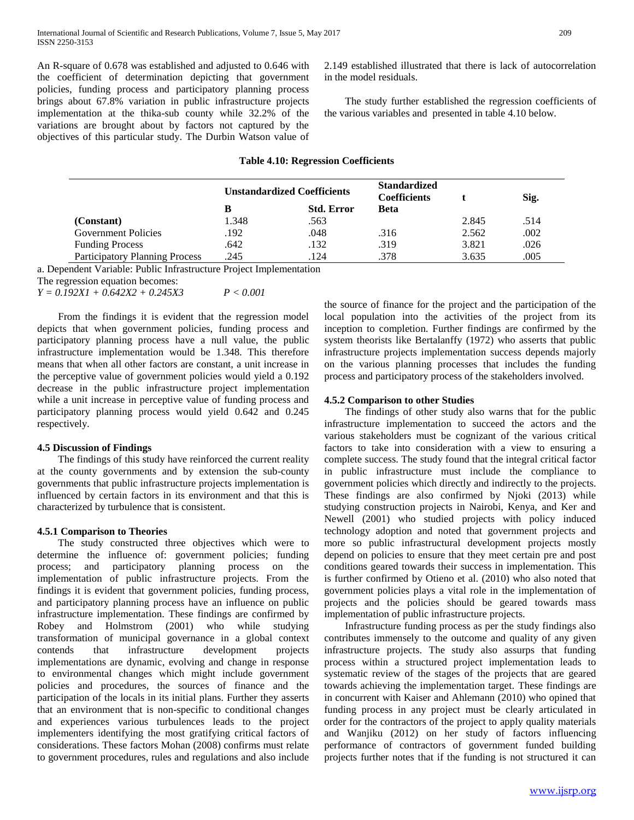An R-square of 0.678 was established and adjusted to 0.646 with the coefficient of determination depicting that government policies, funding process and participatory planning process brings about 67.8% variation in public infrastructure projects implementation at the thika-sub county while 32.2% of the variations are brought about by factors not captured by the objectives of this particular study. The Durbin Watson value of 2.149 established illustrated that there is lack of autocorrelation in the model residuals.

 The study further established the regression coefficients of the various variables and presented in table 4.10 below.

#### **Table 4.10: Regression Coefficients**

|                                       | <b>Unstandardized Coefficients</b> |                   | <b>Standardized</b><br><b>Coefficients</b> |       | Sig. |
|---------------------------------------|------------------------------------|-------------------|--------------------------------------------|-------|------|
|                                       | в                                  | <b>Std. Error</b> | <b>Beta</b>                                |       |      |
| (Constant)                            | 1.348                              | .563              |                                            | 2.845 | .514 |
| <b>Government Policies</b>            | .192                               | .048              | .316                                       | 2.562 | .002 |
| <b>Funding Process</b>                | .642                               | .132              | .319                                       | 3.821 | .026 |
| <b>Participatory Planning Process</b> | .245                               | 124               | .378                                       | 3.635 | .005 |

a. Dependent Variable: Public Infrastructure Project Implementation

The regression equation becomes:

*Y = 0.192X1 + 0.642X2 + 0.245X3 P < 0.001*

 From the findings it is evident that the regression model depicts that when government policies, funding process and participatory planning process have a null value, the public infrastructure implementation would be 1.348. This therefore means that when all other factors are constant, a unit increase in the perceptive value of government policies would yield a 0.192 decrease in the public infrastructure project implementation while a unit increase in perceptive value of funding process and participatory planning process would yield 0.642 and 0.245 respectively.

#### **4.5 Discussion of Findings**

 The findings of this study have reinforced the current reality at the county governments and by extension the sub-county governments that public infrastructure projects implementation is influenced by certain factors in its environment and that this is characterized by turbulence that is consistent.

# **4.5.1 Comparison to Theories**

 The study constructed three objectives which were to determine the influence of: government policies; funding process; and participatory planning process on the implementation of public infrastructure projects. From the findings it is evident that government policies, funding process, and participatory planning process have an influence on public infrastructure implementation. These findings are confirmed by Robey and Holmstrom (2001) who while studying transformation of municipal governance in a global context contends that infrastructure development projects implementations are dynamic, evolving and change in response to environmental changes which might include government policies and procedures, the sources of finance and the participation of the locals in its initial plans. Further they asserts that an environment that is non-specific to conditional changes and experiences various turbulences leads to the project implementers identifying the most gratifying critical factors of considerations. These factors Mohan (2008) confirms must relate to government procedures, rules and regulations and also include the source of finance for the project and the participation of the local population into the activities of the project from its inception to completion. Further findings are confirmed by the system theorists like Bertalanffy (1972) who asserts that public infrastructure projects implementation success depends majorly on the various planning processes that includes the funding process and participatory process of the stakeholders involved.

## **4.5.2 Comparison to other Studies**

 The findings of other study also warns that for the public infrastructure implementation to succeed the actors and the various stakeholders must be cognizant of the various critical factors to take into consideration with a view to ensuring a complete success. The study found that the integral critical factor in public infrastructure must include the compliance to government policies which directly and indirectly to the projects. These findings are also confirmed by Njoki (2013) while studying construction projects in Nairobi, Kenya, and Ker and Newell (2001) who studied projects with policy induced technology adoption and noted that government projects and more so public infrastructural development projects mostly depend on policies to ensure that they meet certain pre and post conditions geared towards their success in implementation. This is further confirmed by Otieno et al. (2010) who also noted that government policies plays a vital role in the implementation of projects and the policies should be geared towards mass implementation of public infrastructure projects.

 Infrastructure funding process as per the study findings also contributes immensely to the outcome and quality of any given infrastructure projects. The study also assurps that funding process within a structured project implementation leads to systematic review of the stages of the projects that are geared towards achieving the implementation target. These findings are in concurrent with Kaiser and Ahlemann (2010) who opined that funding process in any project must be clearly articulated in order for the contractors of the project to apply quality materials and Wanjiku (2012) on her study of factors influencing performance of contractors of government funded building projects further notes that if the funding is not structured it can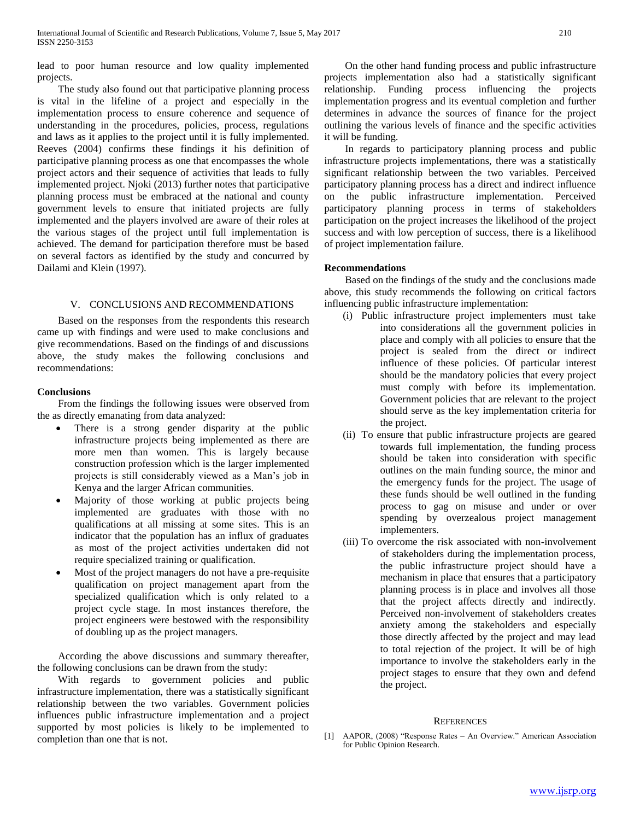lead to poor human resource and low quality implemented projects.

 The study also found out that participative planning process is vital in the lifeline of a project and especially in the implementation process to ensure coherence and sequence of understanding in the procedures, policies, process, regulations and laws as it applies to the project until it is fully implemented. Reeves (2004) confirms these findings it his definition of participative planning process as one that encompasses the whole project actors and their sequence of activities that leads to fully implemented project. Njoki (2013) further notes that participative planning process must be embraced at the national and county government levels to ensure that initiated projects are fully implemented and the players involved are aware of their roles at the various stages of the project until full implementation is achieved. The demand for participation therefore must be based on several factors as identified by the study and concurred by Dailami and Klein (1997).

#### V. CONCLUSIONS AND RECOMMENDATIONS

 Based on the responses from the respondents this research came up with findings and were used to make conclusions and give recommendations. Based on the findings of and discussions above, the study makes the following conclusions and recommendations:

## **Conclusions**

 From the findings the following issues were observed from the as directly emanating from data analyzed:

- There is a strong gender disparity at the public infrastructure projects being implemented as there are more men than women. This is largely because construction profession which is the larger implemented projects is still considerably viewed as a Man's job in Kenya and the larger African communities.
- Majority of those working at public projects being implemented are graduates with those with no qualifications at all missing at some sites. This is an indicator that the population has an influx of graduates as most of the project activities undertaken did not require specialized training or qualification.
- Most of the project managers do not have a pre-requisite qualification on project management apart from the specialized qualification which is only related to a project cycle stage. In most instances therefore, the project engineers were bestowed with the responsibility of doubling up as the project managers.

 According the above discussions and summary thereafter, the following conclusions can be drawn from the study:

 With regards to government policies and public infrastructure implementation, there was a statistically significant relationship between the two variables. Government policies influences public infrastructure implementation and a project supported by most policies is likely to be implemented to completion than one that is not.

 On the other hand funding process and public infrastructure projects implementation also had a statistically significant relationship. Funding process influencing the projects implementation progress and its eventual completion and further determines in advance the sources of finance for the project outlining the various levels of finance and the specific activities it will be funding.

 In regards to participatory planning process and public infrastructure projects implementations, there was a statistically significant relationship between the two variables. Perceived participatory planning process has a direct and indirect influence on the public infrastructure implementation. Perceived participatory planning process in terms of stakeholders participation on the project increases the likelihood of the project success and with low perception of success, there is a likelihood of project implementation failure.

# **Recommendations**

 Based on the findings of the study and the conclusions made above, this study recommends the following on critical factors influencing public infrastructure implementation:

- (i) Public infrastructure project implementers must take into considerations all the government policies in place and comply with all policies to ensure that the project is sealed from the direct or indirect influence of these policies. Of particular interest should be the mandatory policies that every project must comply with before its implementation. Government policies that are relevant to the project should serve as the key implementation criteria for the project.
- (ii) To ensure that public infrastructure projects are geared towards full implementation, the funding process should be taken into consideration with specific outlines on the main funding source, the minor and the emergency funds for the project. The usage of these funds should be well outlined in the funding process to gag on misuse and under or over spending by overzealous project management implementers.
- (iii) To overcome the risk associated with non-involvement of stakeholders during the implementation process, the public infrastructure project should have a mechanism in place that ensures that a participatory planning process is in place and involves all those that the project affects directly and indirectly. Perceived non-involvement of stakeholders creates anxiety among the stakeholders and especially those directly affected by the project and may lead to total rejection of the project. It will be of high importance to involve the stakeholders early in the project stages to ensure that they own and defend the project.

#### **REFERENCES**

[1] AAPOR, (2008) "Response Rates – An Overview." American Association for Public Opinion Research.